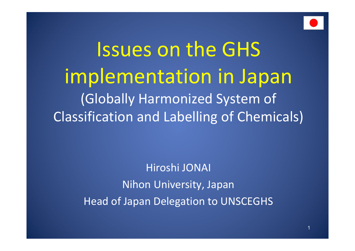

# Issues on the GHS implementation in Japan (Globally Harmonized System of Classification and Labelling of Chemicals)

Hiroshi JONAI Nihon University, Japan Head of Japan Delegation to UNSCEGHS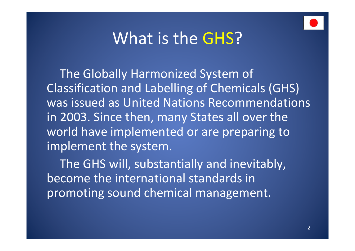

### What is the GHS?

 The Globally Harmonized System of Classification and Labelling of Chemicals (GHS) was issued as United Nations Recommendations in 2003. Since then, many States all over the world have implemented or are preparing to implement the system.

 The GHS will, substantially and inevitably, become the international standards in promoting sound chemical management.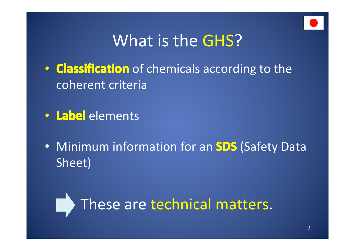

## What is the GHS?

- **Classification** of chemicals according to the coherent criteria
- **Label** elements
- Minimum information for an **SDS** (Safety Data Sheet)

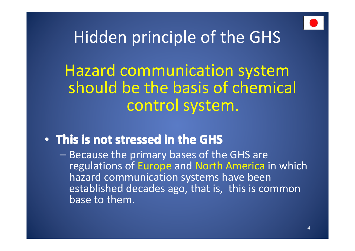

## Hidden principle of the GHS

## Hazard communication system should be the basis of chemical control system.

### • **This is not stressed in the GHS his is not stressed in the GHS his is not stressed in the GHShis is not stressed in the GHS**

**Because the primary bases of the GHS are** regulations of Europe and North America in which hazard communication systems have been established decades ago, that is, this is common base to them.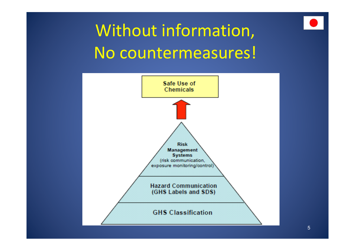

# Without information, No countermeasures!

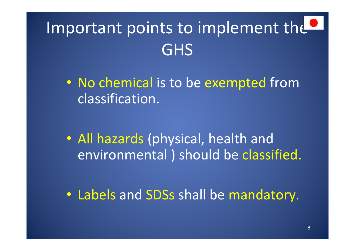# Important points to implement the **GHS**

• No chemical is to be exempted from classification.

- **All hazards (physical, health and** environmental ) should be classified.
- **Labels and SDSs shall be mandatory.**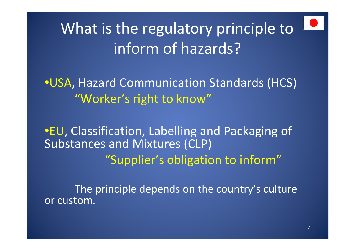What is the regulatory principle to inform of hazards?

•USA, Hazard Communication Standards (HCS) "Worker's right to know"

•EU, Classification, Labelling and Packaging of Substances and Mixtures (CLP) "Supplier's obligation to inform"

The principle depends on the country's culture or custom.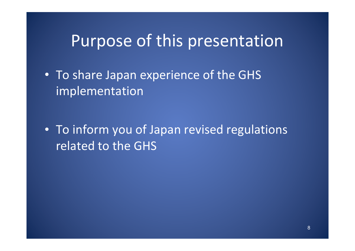### Purpose of this presentation

• To share Japan experience of the GHS implementation

• To inform you of Japan revised regulations related to the GHS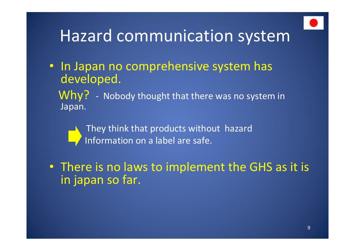

## Hazard communication system

- **In Japan no comprehensive system has** developed.
	- Why? Nobody thought that there was no system in Japan.
		- They think that products without hazard Information on a label are safe.
- There is no laws to implement the GHS as it is in japan so far.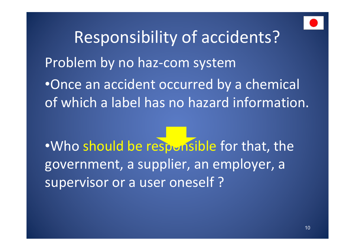

Responsibility of accidents? Problem by no haz-com system •Once an accident occurred by a chemical of which a label has no hazard information.

•Who should be responsible for that, the government, a supplier, an employer, a supervisor or a user oneself ?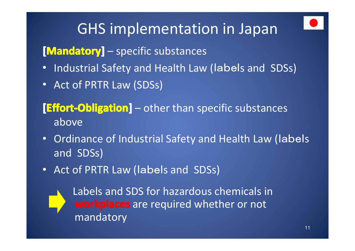## GHS implementation in Japan

### **[Mandatory]** – specific substances

- Industrial Safety and Health Law (label<sup>s</sup> and SDSs)
- Act of PRTR Law (SDSs)

### **[Effort-Obligation]** – other than specific substances above

- Ordinance of Industrial Safety and Health Law (label<sup>s</sup> and SDSs)
- Act of PRTR Law (labels and SDSs)



Labels and SDS for hazardous chemicals in **workplaces** are required whether or not mandatory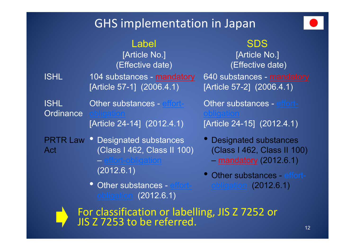### GHS implementation in Japan



### Label

[Article No.] (Effective date) ISHL 104 substances - <u>mandatory</u> 640 substances - <u>mandatory</u> [Article 57-1] (2006.4.1)

ISHL **Ordinance** Other substances - effort-. <u>obligation</u> [Article 24-14] (2012.4.1)

**PRTR Law • Designated substances** Act (Class I 462, Class II 100)

(2012.6.1)

obligation (2012.6.1)

SDS [Article No.] (Effective date) [Article 57-2] (2006.4.1) Other substances - effort**obligation** [Article 24-15] (2012.4.1)

- nces Designated substances (Class I 462, Class II 100) – $-$  mandatory (2012.6.1)
- Other substances <u>effort-cobligation</u> (2012.6.1) • Other substances - effort-

**For classification or labelling, JIS Z 7252 or** JIS Z 7253 to be referred.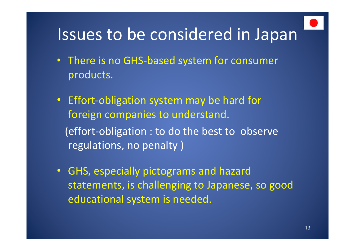

## Issues to be considered in Japan

- There is no GHS-based system for consumer products.
- **Effort-obligation system may be hard for** foreign companies to understand. (effort-obligation : to do the best to observe regulations, no penalty )
	- $\bullet$  GHS, especially pictograms and hazard statements, is challenging to Japanese, so good educational system is needed.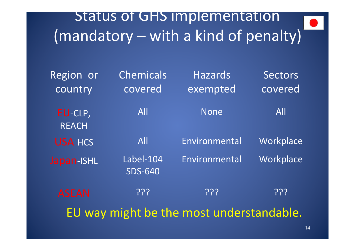### Status of GHS implementation (mandatory – with a kind of penalty)

| Region or<br>country                     | <b>Chemicals</b><br>covered | <b>Hazards</b><br>exempted | <b>Sectors</b><br>covered |
|------------------------------------------|-----------------------------|----------------------------|---------------------------|
| EU-CLP,<br><b>REACH</b>                  | All                         | <b>None</b>                | All                       |
| <b>USA-HCS</b>                           | <b>All</b>                  | Environmental              | Workplace                 |
| Japan-ISHL                               | Label-104<br><b>SDS-640</b> | Environmental              | Workplace                 |
| <b>ASEAN</b>                             | ְרְרְיָ                     | ְרְרְיָ                    | ְרְרְיָ                   |
| EU way might be the most understandable. |                             |                            |                           |